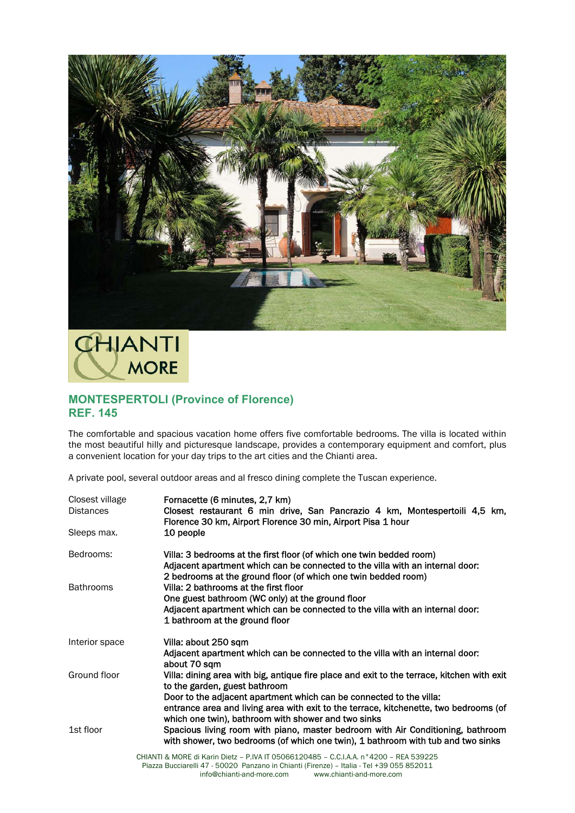

**CHIANTI MORE** 

## **MONTESPERTOLI (Province of Florence) REF. 145**

The comfortable and spacious vacation home offers five comfortable bedrooms. The villa is located within the most beautiful hilly and picturesque landscape, provides a contemporary equipment and comfort, plus a convenient location for your day trips to the art cities and the Chianti area.

A private pool, several outdoor areas and al fresco dining complete the Tuscan experience.

| Closest village<br><b>Distances</b><br>Sleeps max. | Fornacette (6 minutes, 2,7 km)<br>Closest restaurant 6 min drive, San Pancrazio 4 km, Montespertoili 4,5 km,<br>Florence 30 km, Airport Florence 30 min, Airport Pisa 1 hour<br>10 people                                                                                                                                                                                                  |
|----------------------------------------------------|--------------------------------------------------------------------------------------------------------------------------------------------------------------------------------------------------------------------------------------------------------------------------------------------------------------------------------------------------------------------------------------------|
|                                                    |                                                                                                                                                                                                                                                                                                                                                                                            |
| Bedrooms:                                          | Villa: 3 bedrooms at the first floor (of which one twin bedded room)<br>Adjacent apartment which can be connected to the villa with an internal door:                                                                                                                                                                                                                                      |
| <b>Bathrooms</b>                                   | 2 bedrooms at the ground floor (of which one twin bedded room)<br>Villa: 2 bathrooms at the first floor                                                                                                                                                                                                                                                                                    |
|                                                    | One guest bathroom (WC only) at the ground floor                                                                                                                                                                                                                                                                                                                                           |
|                                                    | Adjacent apartment which can be connected to the villa with an internal door:<br>1 bathroom at the ground floor                                                                                                                                                                                                                                                                            |
| Interior space                                     | Villa: about 250 sqm                                                                                                                                                                                                                                                                                                                                                                       |
|                                                    | Adjacent apartment which can be connected to the villa with an internal door:<br>about 70 sqm                                                                                                                                                                                                                                                                                              |
| Ground floor                                       | Villa: dining area with big, antique fire place and exit to the terrace, kitchen with exit<br>to the garden, guest bathroom                                                                                                                                                                                                                                                                |
| 1st floor                                          | Door to the adjacent apartment which can be connected to the villa:<br>entrance area and living area with exit to the terrace, kitchenette, two bedrooms (of<br>which one twin), bathroom with shower and two sinks<br>Spacious living room with piano, master bedroom with Air Conditioning, bathroom<br>with shower, two bedrooms (of which one twin), 1 bathroom with tub and two sinks |
|                                                    | CHIANTI & MORE di Karin Dietz - P.IVA IT 05066120485 - C.C.I.A.A. n°4200 - REA 539225<br>---!!! 47   FOOOO   D------- !-- OL:---+! (F!------)     IL-!!-    T-! + OO OFF OFOO4/                                                                                                                                                                                                            |